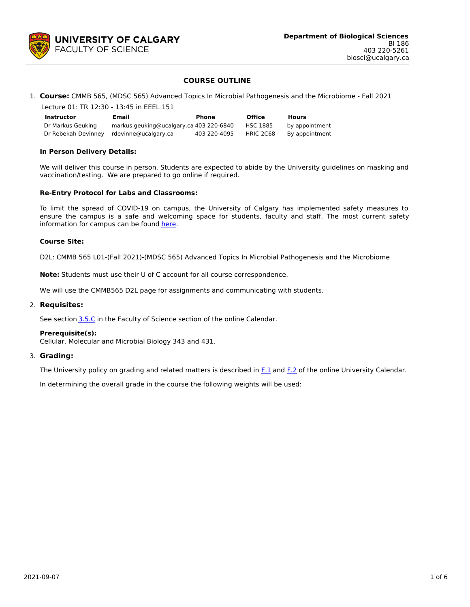

# **COURSE OUTLINE**

## 1. **Course:** CMMB 565, (MDSC 565) Advanced Topics In Microbial Pathogenesis and the Microbiome - Fall 2021

| Lecture 01: TR 12:30 - 13:45 in EEEL 151 |                                         |              |               |                |  |  |  |
|------------------------------------------|-----------------------------------------|--------------|---------------|----------------|--|--|--|
| <b>Instructor</b>                        | Email                                   | <b>Phone</b> | <b>Office</b> | <b>Hours</b>   |  |  |  |
| Dr Markus Geuking                        | markus.geuking@ucalgary.ca 403 220-6840 |              | HSC 1885      | by appointment |  |  |  |
| Dr Rebekah Devinney                      | rdevinne@ucalgary.ca                    | 403 220-4095 | HRIC 2C68     | By appointment |  |  |  |

## **In Person Delivery Details:**

We will deliver this course in person. Students are expected to abide by the University guidelines on masking and vaccination/testing. We are prepared to go online if required.

## **Re-Entry Protocol for Labs and Classrooms:**

To limit the spread of COVID-19 on campus, the University of Calgary has implemented safety measures to ensure the campus is a safe and welcoming space for students, faculty and staff. The most current safety information for campus can be found [here](https://www.ucalgary.ca/risk/emergency-management/covid-19-response/return-campus-safety).

## **Course Site:**

D2L: CMMB 565 L01-(Fall 2021)-(MDSC 565) Advanced Topics In Microbial Pathogenesis and the Microbiome

**Note:** Students must use their U of C account for all course correspondence.

We will use the CMMB565 D2L page for assignments and communicating with students.

## 2. **Requisites:**

See section [3.5.C](http://www.ucalgary.ca/pubs/calendar/current/sc-3-5.html) in the Faculty of Science section of the online Calendar.

## **Prerequisite(s):**

Cellular, Molecular and Microbial Biology 343 and 431.

## 3. **Grading:**

The University policy on grading and related matters is described in [F.1](http://www.ucalgary.ca/pubs/calendar/current/f-1.html) and [F.2](http://www.ucalgary.ca/pubs/calendar/current/f-2.html) of the online University Calendar.

In determining the overall grade in the course the following weights will be used: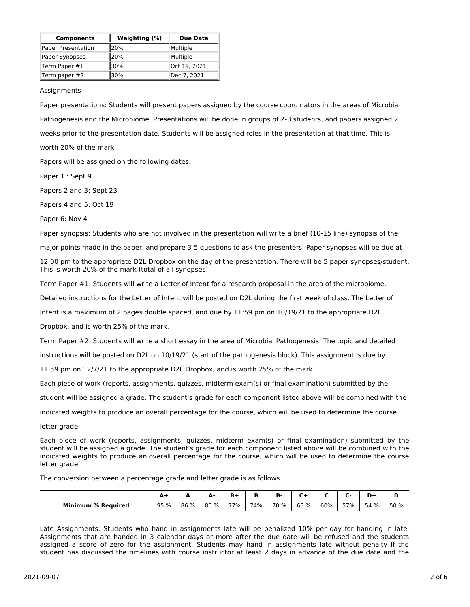| <b>Components</b>  | Weighting (%) | <b>Due Date</b> |  |  |
|--------------------|---------------|-----------------|--|--|
| Paper Presentation | <b>20%</b>    | Multiple        |  |  |
| Paper Synopses     | 20%           | Multiple        |  |  |
| Term Paper $#1$    | <b>30%</b>    | Oct 19, 2021    |  |  |
| Term paper #2      | 30%           | lDec 7. 2021    |  |  |

## Assignments

Paper presentations: Students will present papers assigned by the course coordinators in the areas of Microbial Pathogenesis and the Microbiome. Presentations will be done in groups of 2-3 students, and papers assigned 2 weeks prior to the presentation date. Students will be assigned roles in the presentation at that time. This is worth 20% of the mark.

Papers will be assigned on the following dates:

Paper 1 : Sept 9

Papers 2 and 3: Sept 23

Papers 4 and 5: Oct 19

Paper 6: Nov 4

Paper synopsis: Students who are not involved in the presentation will write a brief (10-15 line) synopsis of the

major points made in the paper, and prepare 3-5 questions to ask the presenters. Paper synopses will be due at

12:00 pm to the appropriate D2L Dropbox on the day of the presentation. There will be 5 paper synopses/student. This is worth 20% of the mark (total of all synopses).

Term Paper #1: Students will write a Letter of Intent for a research proposal in the area of the microbiome.

Detailed instructions for the Letter of Intent will be posted on D2L during the first week of class. The Letter of

Intent is a maximum of 2 pages double spaced, and due by 11:59 pm on 10/19/21 to the appropriate D2L

Dropbox, and is worth 25% of the mark.

Term Paper #2: Students will write a short essay in the area of Microbial Pathogenesis. The topic and detailed

instructions will be posted on D2L on 10/19/21 (start of the pathogenesis block). This assignment is due by

11:59 pm on 12/7/21 to the appropriate D2L Dropbox, and is worth 25% of the mark.

Each piece of work (reports, assignments, quizzes, midterm exam(s) or final examination) submitted by the

student will be assigned a grade. The student's grade for each component listed above will be combined with the

indicated weights to produce an overall percentage for the course, which will be used to determine the course

letter grade.

Each piece of work (reports, assignments, quizzes, midterm exam(s) or final examination) submitted by the student will be assigned a grade. The student's grade for each component listed above will be combined with the indicated weights to produce an overall percentage for the course, which will be used to determine the course letter grade.

The conversion between a percentage grade and letter grade is as follows.

|                                | $\mathbf{r}$<br><u>л</u><br>$  -$ | -    | А.<br>æ. | в.<br>D. |     | n<br>в. | -<br>◡ |     |     | -    | D<br>ש |
|--------------------------------|-----------------------------------|------|----------|----------|-----|---------|--------|-----|-----|------|--------|
| <b>Minimum</b><br>∖ % Reauired | 95 %                              | 86 % | 80 %     | 77%      | 74% | 70 %    | 65 %   | 60% | 57% | 54 % | 50 %   |

Late Assignments: Students who hand in assignments late will be penalized 10% per day for handing in late. Assignments that are handed in 3 calendar days or more after the due date will be refused and the students assigned a score of zero for the assignment. Students may hand in assignments late without penalty if the student has discussed the timelines with course instructor at least 2 days in advance of the due date and the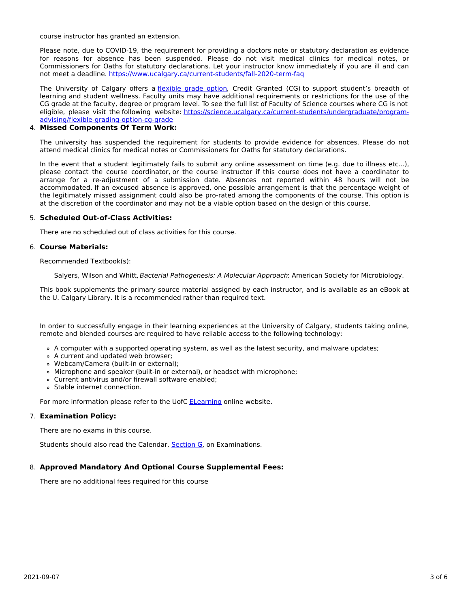course instructor has granted an extension.

Please note, due to COVID-19, the requirement for providing a doctors note or statutory declaration as evidence for reasons for absence has been suspended. Please do not visit medical clinics for medical notes, or Commissioners for Oaths for statutory declarations. Let your instructor know immediately if you are ill and can not meet a deadline. <https://www.ucalgary.ca/current-students/fall-2020-term-faq>

The University of Calgary offers a *[flexible](https://www.ucalgary.ca/pubs/calendar/current/f-1-3.html) grade option*, Credit Granted (CG) to support student's breadth of learning and student wellness. Faculty units may have additional requirements or restrictions for the use of the CG grade at the faculty, degree or program level. To see the full list of Faculty of Science courses where CG is not eligible, please visit the following website: [https://science.ucalgary.ca/current-students/undergraduate/program](https://science.ucalgary.ca/current-students/undergraduate/program-advising/flexible-grading-option-cg-grade)advising/flexible-grading-option-cg-grade

# 4. **Missed Components Of Term Work:**

The university has suspended the requirement for students to provide evidence for absences. Please do not attend medical clinics for medical notes or Commissioners for Oaths for statutory declarations.

In the event that a student legitimately fails to submit any online assessment on time (e.g. due to illness etc...), please contact the course coordinator, or the course instructor if this course does not have a coordinator to arrange for a re-adjustment of a submission date. Absences not reported within 48 hours will not be accommodated. If an excused absence is approved, one possible arrangement is that the percentage weight of the legitimately missed assignment could also be pro-rated among the components of the course. This option is at the discretion of the coordinator and may not be a viable option based on the design of this course.

## 5. **Scheduled Out-of-Class Activities:**

There are no scheduled out of class activities for this course.

## 6. **Course Materials:**

Recommended Textbook(s):

Salyers, Wilson and Whitt, Bacterial Pathogenesis: A Molecular Approach: American Society for Microbiology.

This book supplements the primary source material assigned by each instructor, and is available as an eBook at the U. Calgary Library. It is a recommended rather than required text.

In order to successfully engage in their learning experiences at the University of Calgary, students taking online, remote and blended courses are required to have reliable access to the following technology:

- A computer with a supported operating system, as well as the latest security, and malware updates;
- A current and updated web browser;
- Webcam/Camera (built-in or external);
- Microphone and speaker (built-in or external), or headset with microphone;
- Current antivirus and/or firewall software enabled;
- Stable internet connection.

For more information please refer to the UofC **[ELearning](https://elearn.ucalgary.ca/technology-requirements-for-students)** online website.

## 7. **Examination Policy:**

There are no exams in this course.

Students should also read the Calendar, [Section](http://www.ucalgary.ca/pubs/calendar/current/g.html) G, on Examinations.

# 8. **Approved Mandatory And Optional Course Supplemental Fees:**

There are no additional fees required for this course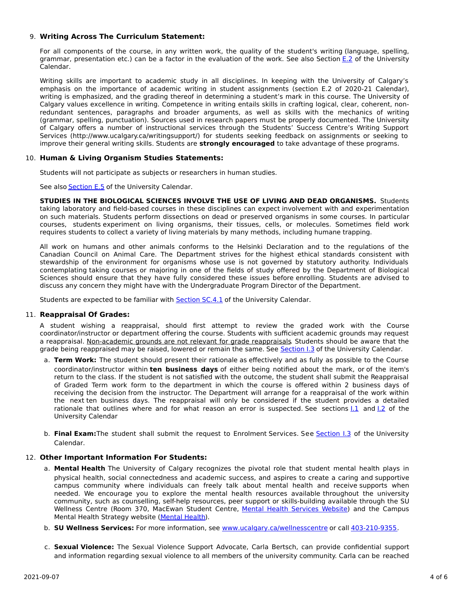## 9. **Writing Across The Curriculum Statement:**

For all components of the course, in any written work, the quality of the student's writing (language, spelling, grammar, presentation etc.) can be a factor in the evaluation of the work. See also Section [E.2](http://www.ucalgary.ca/pubs/calendar/current/e-2.html) of the University Calendar.

Writing skills are important to academic study in all disciplines. In keeping with the University of Calgary's emphasis on the importance of academic writing in student assignments (section E.2 of 2020-21 Calendar), writing is emphasized, and the grading thereof in determining a student's mark in this course. The University of Calgary values excellence in writing. Competence in writing entails skills in crafting logical, clear, coherent, nonredundant sentences, paragraphs and broader arguments, as well as skills with the mechanics of writing (grammar, spelling, punctuation). Sources used in research papers must be properly documented. The University of Calgary offers a number of instructional services through the Students' Success Centre's Writing Support Services (http://www.ucalgary.ca/writingsupport/) for students seeking feedback on assignments or seeking to improve their general writing skills. Students are **strongly encouraged** to take advantage of these programs.

## 10. **Human & Living Organism Studies Statements:**

Students will not participate as subjects or researchers in human studies.

See also [Section](http://www.ucalgary.ca/pubs/calendar/current/e-5.html) E.5 of the University Calendar.

**STUDIES IN THE BIOLOGICAL SCIENCES INVOLVE THE USE OF LIVING AND DEAD ORGANISMS.** Students taking laboratory and field-based courses in these disciplines can expect involvement with and experimentation on such materials. Students perform dissections on dead or preserved organisms in some courses. In particular courses, students experiment on living organisms, their tissues, cells, or molecules. Sometimes field work requires students to collect a variety of living materials by many methods, including humane trapping.

All work on humans and other animals conforms to the Helsinki Declaration and to the regulations of the Canadian Council on Animal Care. The Department strives for the highest ethical standards consistent with stewardship of the environment for organisms whose use is not governed by statutory authority. Individuals contemplating taking courses or majoring in one of the fields of study offered by the Department of Biological Sciences should ensure that they have fully considered these issues before enrolling. Students are advised to discuss any concern they might have with the Undergraduate Program Director of the Department.

Students are expected to be familiar with **[Section](http://www.ucalgary.ca/pubs/calendar/current/sc-4-1.html) SC.4.1** of the University Calendar.

## 11. **Reappraisal Of Grades:**

A student wishing a reappraisal, should first attempt to review the graded work with the Course coordinator/instructor or department offering the course. Students with sufficient academic grounds may request a reappraisal. Non-academic grounds are not relevant for grade reappraisals. Students should be aware that the grade being reappraised may be raised, lowered or remain the same. See [Section](http://www.ucalgary.ca/pubs/calendar/current/i-3.html) I.3 of the University Calendar.

- a. **Term Work:** The student should present their rationale as effectively and as fully as possible to the Course coordinator/instructor within **ten business days** of either being notified about the mark, or of the item's return to the class. If the student is not satisfied with the outcome, the student shall submit the Reappraisal of Graded Term work form to the department in which the course is offered within 2 business days of receiving the decision from the instructor. The Department will arrange for a reappraisal of the work within the next ten business days. The reappraisal will only be considered if the student provides a detailed rationale that outlines where and for what reason an error is suspected. See sections  $1.1$  and  $1.2$  of the University Calendar
- b. **Final Exam:**The student shall submit the request to Enrolment Services. See [Section](http://www.ucalgary.ca/pubs/calendar/current/i-3.html) I.3 of the University Calendar.

## 12. **Other Important Information For Students:**

- a. **Mental Health** The University of Calgary recognizes the pivotal role that student mental health plays in physical health, social connectedness and academic success, and aspires to create a caring and supportive campus community where individuals can freely talk about mental health and receive supports when needed. We encourage you to explore the mental health resources available throughout the university community, such as counselling, self-help resources, peer support or skills-building available through the SU Wellness Centre (Room 370, MacEwan Student Centre, Mental Health [Services](https://www.ucalgary.ca/wellnesscentre/services/mental-health-services) Website) and the Campus Mental Health Strategy website [\(Mental](http://www.ucalgary.ca/mentalhealth) Health).
- b. **SU Wellness Services:** For more information, see [www.ucalgary.ca/wellnesscentre](http://www.ucalgary.ca/wellnesscentre) or call [403-210-9355.](tel:4032109355)
- c. **Sexual Violence:** The Sexual Violence Support Advocate, Carla Bertsch, can provide confidential support and information regarding sexual violence to all members of the university community. Carla can be reached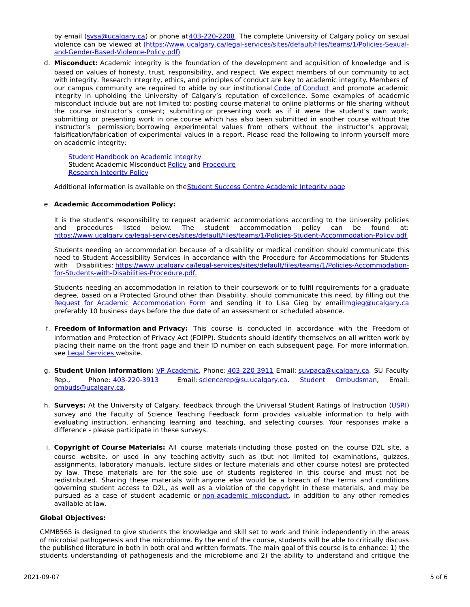by email [\(svsa@ucalgary.ca](mailto:svsa@ucalgary.ca)) or phone at[403-220-2208](tel:4032202208). The complete University of Calgary policy on sexual violence can be viewed at [\(https://www.ucalgary.ca/legal-services/sites/default/files/teams/1/Policies-Sexual](https://www.ucalgary.ca/legal-services/sites/default/files/teams/1/Policies-Sexual-and-Gender-Based-Violence-Policy.pdf)and-Gender-Based-Violence-Policy.pdf)

d. **Misconduct:** Academic integrity is the foundation of the development and acquisition of knowledge and is based on values of honesty, trust, responsibility, and respect. We expect members of our community to act with integrity. Research integrity, ethics, and principles of conduct are key to academic integrity. Members of our campus community are required to abide by our institutional Code of [Conduct](https://www.ucalgary.ca/legal-services/sites/default/files/teams/1/Policies-Code-of-Conduct.pdf) and promote academic integrity in upholding the University of Calgary's reputation of excellence. Some examples of academic misconduct include but are not limited to: posting course material to online platforms or file sharing without the course instructor's consent; submitting or presenting work as if it were the student's own work; submitting or presenting work in one course which has also been submitted in another course without the instructor's permission; borrowing experimental values from others without the instructor's approval; falsification/fabrication of experimental values in a report. Please read the following to inform yourself more on academic integrity:

Student [Handbook](https://www.ucalgary.ca/live-uc-ucalgary-site/sites/default/files/teams/9/AI-Student-handbook-1.pdf) on Academic Integrity Student Academic Misconduct [Policy](https://www.ucalgary.ca/legal-services/sites/default/files/teams/1/Policies-Student-Academic-Misconduct-Policy.pdf) and [Procedure](https://www.ucalgary.ca/legal-services/sites/default/files/teams/1/Policies-Student-Academic-Misconduct-Procedure.pdf) [Research](https://www.ucalgary.ca/legal-services/sites/default/files/teams/1/Policies-Research-Integrity-Policy.pdf) Integrity Policy

Additional information is available on the Student Success Centre [Academic](https://ucalgary.ca/student-services/student-success/learning/academic-integrity) Integrity page

## e. **Academic Accommodation Policy:**

It is the student's responsibility to request academic accommodations according to the University policies and procedures listed below. The student accommodation policy can be found at: <https://www.ucalgary.ca/legal-services/sites/default/files/teams/1/Policies-Student-Accommodation-Policy.pdf>

Students needing an accommodation because of a disability or medical condition should communicate this need to Student Accessibility Services in accordance with the Procedure for Accommodations for Students with Disabilities: [https://www.ucalgary.ca/legal-services/sites/default/files/teams/1/Policies-Accommodation](https://www.ucalgary.ca/legal-services/sites/default/files/teams/1/Policies-Accommodation-for-Students-with-Disabilities-Procedure.pdf)for-Students-with-Disabilities-Procedure.pdf.

Students needing an accommodation in relation to their coursework or to fulfil requirements for a graduate degree, based on a Protected Ground other than Disability, should communicate this need, by filling out the Request for Academic [Accommodation](https://science.ucalgary.ca/sites/default/files/teams/1/request-accommodation-academic-courses.pdf) Form and sending it to Lisa Gieg by emai[llmgieg@ucalgary.ca](mailto:lmgieg@ucalgary.ca) preferably 10 business days before the due date of an assessment or scheduled absence.

- f. **Freedom of Information and Privacy:** This course is conducted in accordance with the Freedom of Information and Protection of Privacy Act (FOIPP). Students should identify themselves on all written work by placing their name on the front page and their ID number on each subsequent page. For more information, see Legal [Services](https://www.ucalgary.ca/legal-services/access-information-privacy) website.
- g. **Student Union Information:** VP [Academic](http://www.su.ucalgary.ca/contact), Phone: [403-220-3911](tel:4032203911) Email: [suvpaca@ucalgary.ca](mailto:suvpaca@ucalgary.ca). SU Faculty Rep., Phone: [403-220-3913](tel:4032203913) Email: [sciencerep@su.ucalgary.ca](mailto:sciencerep@su.ucalgary.ca). Student [Ombudsman](https://www.ucalgary.ca/ombuds/), Email: [ombuds@ucalgary.ca](mailto:%20ombuds@ucalgary.ca).
- h. **Surveys:** At the University of Calgary, feedback through the Universal Student Ratings of Instruction [\(USRI](http://www.ucalgary.ca/usri)) survey and the Faculty of Science Teaching Feedback form provides valuable information to help with evaluating instruction, enhancing learning and teaching, and selecting courses. Your responses make a difference - please participate in these surveys.
- i. **Copyright of Course Materials:** All course materials (including those posted on the course D2L site, a course website, or used in any teaching activity such as (but not limited to) examinations, quizzes, assignments, laboratory manuals, lecture slides or lecture materials and other course notes) are protected by law. These materials are for the sole use of students registered in this course and must not be redistributed. Sharing these materials with anyone else would be a breach of the terms and conditions governing student access to D2L, as well as a violation of the copyright in these materials, and may be pursued as a case of student academic or [non-academic](https://www.ucalgary.ca/conduct/policy/non-academic-misconduct-policy) misconduct, in addition to any other remedies available at law.

## **Global Objectives:**

CMMB565 is designed to give students the knowledge and skill set to work and think independently in the areas of microbial pathogenesis and the microbiome. By the end of the course, students will be able to critically discuss the published literature in both in both oral and written formats. The main goal of this course is to enhance: 1) the students understanding of pathogenesis and the microbiome and 2) the ability to understand and critique the